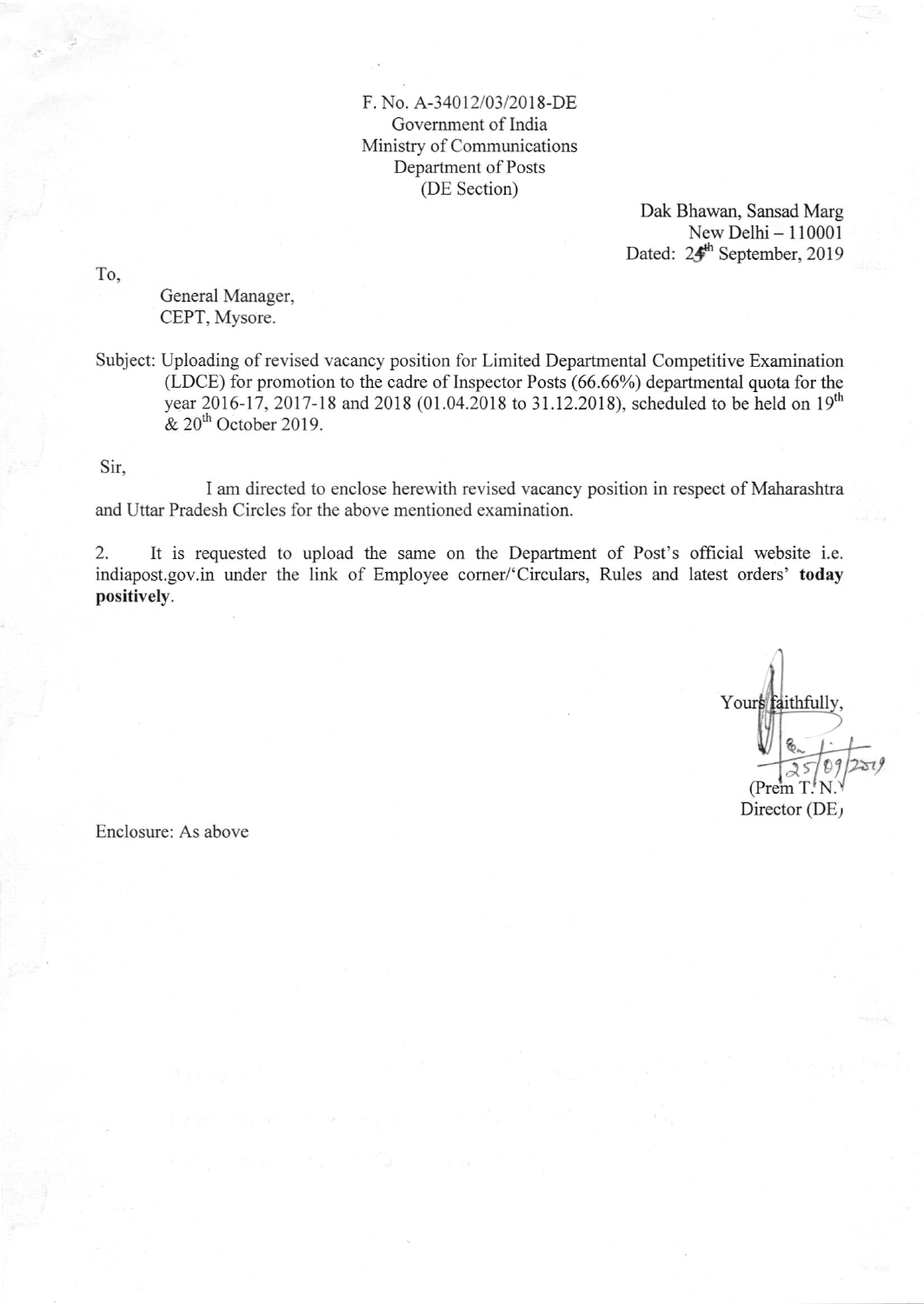## F. No. A-34012/03/2018-DE Govemment of India Ministry of Communications Department of Posts (DE Section)

Dak Bhawan, Sansad Marg New Delhi - 110001 Dated: 24<sup>th</sup> September, 2019

To,

General Manager, CEPT, Mysore.

Subject: Uploading of revised vacancy position for Limited Departmental Competitive Examination (LDCE) for promotion to the cadre of Inspector Posts (66.66%) departmental quota for the year 2016-17, 2017-18 and 2018 (01.04.2018 to 31.12.2018), scheduled to be held on  $19^{th}$  $& 20<sup>th</sup>$  October 2019.

Sir,

I am directed to enclose herewith revised vacancy position in respect of Maharashtra and Uttar Pradesh Circles for the above mentioned examination.

2. It is requested to upload the same on the Department of Post's official website i.e. indiapost.gov.in under the link of Employee corner/'Circulars, Rules and latest orders' today positively.

Yours faithfull  $^{\mathfrak{g}}$  $T^*N$ Director (DE) a-

Enclosure: As above